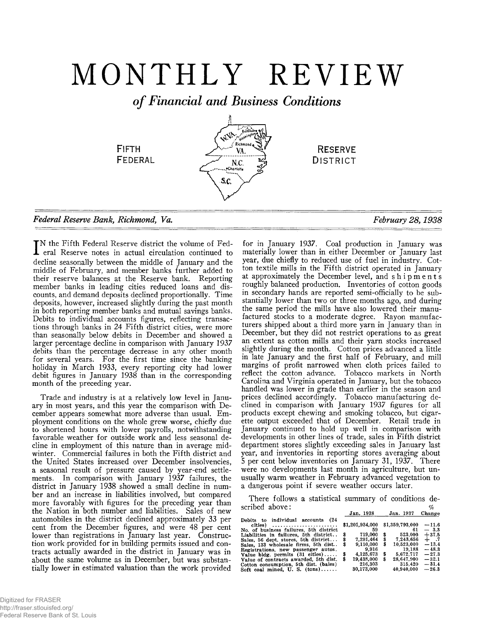# MONTHLY REVIEW

*of Financial and Business Conditions*



# *Federal Reserve Bank, Richmond, Va. February 28,1938*

 $\begin{array}{r} -11.6 \ -3.3 \ +37.5 \ +1.7 \ -13.4 \ -48.3 \end{array}$ 

**— 27.3 — 32.1 — 31.4 — 26.3**

**T**N the Fifth Federal Reserve district the volume of Federal Reserve notes in actual circulation continued to decline seasonally between the middle of January and the middle of February, and member banks further added to their reserve balances at the Reserve bank. Reporting member banks in leading cities reduced loans and discounts, and demand deposits declined proportionally. Time deposits, however, increased slightly during the past month in both reporting member banks and mutual savings banks. Debits to individual accounts figures, reflecting transactions through banks in 24 Fifth district cities, were more than seasonally below debits in December and showed a larger percentage decline in comparison with January 1937 debits than the percentage decrease in any other month for several years. For the first time since the banking holiday in March 1933, every reporting city had lower debit figures in January 1938 than in the corresponding month of the preceding year.

Trade and industry is at a relatively low level in January in most years, and this year the comparison with December appears somewhat more adverse than usual. Employment conditions on the whole grew worse, chiefly due to shortened hours with lower payrolls, notwithstanding favorable weather for outside work and less seasonal decline in employment of this nature than in average midwinter. Commercial failures in both the Fifth district and the United States increased over December insolvencies, a seasonal result of pressure caused by year-end settlements. In comparison with January 1937 failures, the district in January 1938 showed a small decline in number and an increase in liabilities involved, but compared more favorably with figures for the preceding year than the Nation in both number and liabilities. Sales of new automobiles in the district declined approximately 33 per cent from the December figures, and were 48 per cent lower than registrations in January last year. Construction work provided for in building permits issued and contracts actually awarded in the district in January was in about the same volume as in December, but was substantially lower in estimated valuation than the work provided

for in January 1937. Coal production in January was materially lower than in either December or January last year, due chiefly to reduced use of fuel in industry. Cotton textile mills in the Fifth district operated in January at approximately the December level, and shipments roughly balanced production. Inventories of cotton goods in secondary hands are reported semi-officially to be substantially lower than two or three months ago, and during the same period the mills have also lowered their manufactured stocks to a moderate degree. Rayon manufacturers shipped about a third more yarn in January than in December, but they did not restrict operations to as great an extent as cotton mills and their yarn stocks increased slightly during the month. Cotton prices advanced a little in late January and the first half of February, and mill margins of profit narrowed when cloth prices failed to reflect the cotton advance. Tobacco markets in North Carolina and Virginia operated in January, but the tobacco handled was lower in grade than earlier in the season and prices declined accordingly. Tobacco manufacturing declined in comparison with January 1937 figures for all products except chewing and smoking tobacco, but cigarette output exceeded that of December. Retail trade in January continued to hold up well in comparison with developments in other lines of trade, sales in Fifth district department stores slightly exceeding sales in January last year, and inventories in reporting stores averaging about 5 per cent below inventories on January 31, 1937. There were no developments last month in agriculture, but unusually warm weather in February advanced vegetation to a dangerous point if severe weather occurs later.

There follows a statistical summary of conditions de scribed above: *%* **Jan. 1938\_\_\_\_\_ Jan. 1937 Change**

|                                                                             |   | UGIL LUUC             |    | <b>UGH. LUUI</b>      |
|-----------------------------------------------------------------------------|---|-----------------------|----|-----------------------|
| Debits to individual accounts (24<br>No. of business failures, 5th district |   | \$1,201,934,000<br>59 |    | \$1,359,793,000<br>61 |
| Liabilities in failures, 5th district                                       | S | 719.000               | \$ | 523,000               |
| Sales, 56 dept. stores, 5th district                                        |   | 7.291.464             | \$ | 7.243.656             |
| Sales, 133 wholesale firms, 5th dist                                        | s | 9.110.000             | S  | 10.523.000            |
| Registrations, new passenger autos.                                         |   | 9.916                 |    | 19.188                |
| Value bldg, permits $(31 \text{ cities}) \dots$ .                           |   | 4.125.673             | \$ | 5.672.717             |
| Value of contracts awarded, 5th dist.                                       |   | 19.438.000            | S  | 28.647.900            |
| Cotton consumption, 5th dist. (bales)                                       |   | 216.303               |    | 315,420               |
| Soft coal mined, U.S. $(\text{tons}) \dots$                                 |   | 30,173,000            |    | 40.940.000            |
|                                                                             |   |                       |    |                       |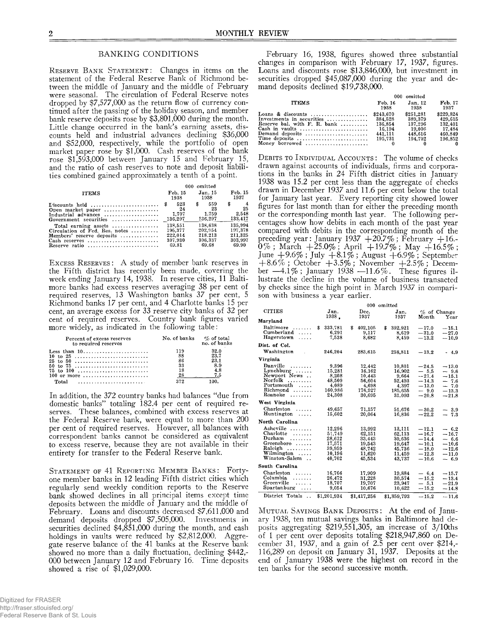#### BANKING CONDITIONS

**RESERVE BANK STATEMENT:** Changes in items on the statement of the Federal Reserve Bank of Richmond between the middle of January and the middle of February were seasonal. The circulation of Federal Reserve notes dropped by \$7,577,000 as the return flow of currency continued after the passing of the holiday season, and member bank reserve deposits rose by \$3,801,000 during the month. Little change occurred in the bank's earning assets, discounts held and industrial advances declining \$36,000 and \$52,000, respectively, while the portfolio of open market paper rose by \$1,000. Cash reserves of the bank rose \$1,593,000 between January 15 and February 15, and the ratio of cash reserves to note and deposit liabilities combined gained approximately a tenth of a point.

|                                                                   | 000 omitted                   |                                     |                              |  |
|-------------------------------------------------------------------|-------------------------------|-------------------------------------|------------------------------|--|
| <b>ITEMS</b>                                                      | Feb. 15                       | Jan. 15                             | Feb. 15                      |  |
|                                                                   | 1938                          | 1938                                | 1937                         |  |
| Open market paper<br>Industrial advances<br>Government securities | 523<br>24<br>1.707<br>136,297 | 559<br>\$<br>23<br>1.759<br>136,297 | \$<br>25<br>2.548<br>133,417 |  |
| Total earning assets $\dots\dots\dots\dots\dots$                  | 138.551                       | 138.638                             | 135,994                      |  |
| Circulation of Fed. Res. notes                                    | 195.377                       | 202.954                             | 197.378                      |  |
| Members' reserve deposits                                         | 222.014                       | 218,213                             | 211.325                      |  |
|                                                                   | 307.930                       | 306.337                             | 303.997                      |  |
| Reserve ratio                                                     | 69.81                         | 69.68                               | 69.90                        |  |

EXCESS RESERVES: A study of member bank reserves in the Fifth district has recently been made, covering the week ending January 14, 1938. In reserve cities, 11 Baltimore banks had excess reserves averaging 38 per cent of required reserves, 13 Washington banks 37 per cent, 5 Richmond banks 17 per cent, and 4 Charlotte banks 15 per cent, an average excess for 33 reserve city banks of 32 per cent of required reserves. Country bank figures varied more widely, as indicated in the following table:

| Percent of excess reserves<br>to required reserves      | No. of banks | $\%$ of total<br>no. of banks |
|---------------------------------------------------------|--------------|-------------------------------|
| Less than $10 \ldots  \ldots  \ldots$                   | 119          | 32.0                          |
|                                                         | 88           | 23.7                          |
| $25$ to $50$                                            | 86           | 23.1                          |
| 50 to 75                                                | 33           | 8.9                           |
| 75 to 100                                               | 18           | 4.8                           |
| $100$ or more                                           | 28           | 7.5                           |
| $Total \dots \dots \dots \dots \dots \dots \dots \dots$ | 279          | 100.                          |

In addition, the 372 country banks had balances "due from domestic banks" totaling 182.4 per cent of required reserves. These balances, combined with excess reserves at the Federal Reserve bank, were equal to more than 200 per cent of required reserves. However, all balances with correspondent banks cannot be considered as equivalent to excess reserve, because they are not available in their entirety for transfer to the Federal Reserve bank.

STATEMENT OF 41 REPORTING MEMBER BANKS: Fortyone member banks in 12 leading Fifth district cities which regularly send weekly condition reports to the Reserve bank showed declines in all principal items except time deposits between the middle of January and the middle of February. Loans and discounts decreased \$7,611,000 and demand deposits dropped \$7,505,000. Investments in securities declined \$4,851,000 during the month, and cash holdings in vaults were reduced by \$2,812,000. Aggregate reserve balance of the 41 banks at the Reserve bank showed no more than a daily fluctuation, declining \$442,- 000 between January 12 and February 16. Time deposits showed a rise of \$1,029,000.

February 16, 1938, figures showed three substantial changes in comparison with February 17, 1937, figures. Loans and discounts rose \$13,846,000, but investment in securities dropped \$45,087,000 during the year and demand deposits declined \$19,738,000.

|                                                                                                                                                                                                                     | 000 omitted                                                     |                                                                 |                                                                 |  |
|---------------------------------------------------------------------------------------------------------------------------------------------------------------------------------------------------------------------|-----------------------------------------------------------------|-----------------------------------------------------------------|-----------------------------------------------------------------|--|
| <b>ITEMS</b>                                                                                                                                                                                                        | Feb. 16<br>1938                                                 | Jan. 12<br>1938                                                 | Feb. 17<br>1937                                                 |  |
| Loans & discounts<br>Investments in securities<br>Reserve bal. with $F$ . R. bank $\ldots$<br>Cash in vaults $\ldots, \ldots, \ldots, \ldots, \ldots, \ldots$<br>Demand deposits<br>Time deposits<br>Money borrowed | \$243.670<br>384.528<br>136.854<br>16.194<br>441.111<br>195.731 | \$251.281<br>389.379<br>137.296<br>19.006<br>448.616<br>194.702 | \$229.824<br>429.615<br>132.401<br>17.484<br>460.849<br>196.852 |  |

**DEBITS TO INDIVIDUAL ACCOUNTS:** The volume of checks drawn against accounts of individuals, firms and corporations in the banks in 24 Fifth district cities in January 1938 was 15.2 per cent less than the aggregate of checks drawn in December 1937 and 11.6 per cent below the total for January last year. Every reporting city showed lower figures for last month than for either the preceding month or the corresponding month last year. The following percentages show how debits in each month of the past year compared with debits in the corresponding month of the preceding year: January 1937  $+20.7\%$  ; February  $+16$ .- $0\%$  ; March  $+25.0\%$  ; April  $+19.7\%$  ; May  $+16.5\%$  ; June  $+9.6\%$ ; July  $+8.1\%$ ; August  $+6.9\%$ ; September  $+8.6\%$  ; October  $+3.5\%$  ; November  $+2.5\%$  ; December —4.1% ; January 1938 —11.6%. These figures illustrate the decline in the volume of business transacted by checks since the high point in March 1937 in comparison with business a year earlier.

**MUTUAL SAVINGS BANK DEPOSITS:** At the end of January 1938, ten mutual savings banks in Baltimore had deposits aggregating \$219,551,305, an increase of 3/10ths of 1 per cent over deposits totaling \$218,947,860 on December 31, 1937, and a gain of 2.5 per cent over \$214,-116,289 on deposit on January 31, 1937. Deposits at the end of January 1938 were the highest on record in the ten banks for the second successive month.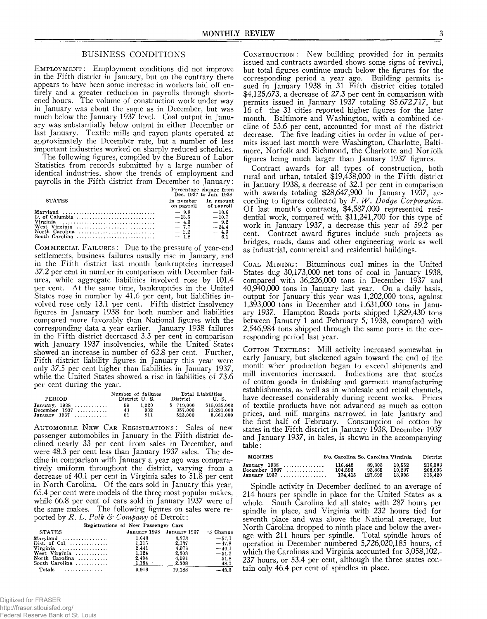### BUSINESS CONDITIONS

EMPLOYMENT: Employment conditions did not improve in the Fifth district in January, but on the contrary there appears to have been some increase in workers laid off entirely and a greater reduction in payrolls through shortened hours. The volume of construction work under way in January was about the same as in December, but was much below the January 1937 level. Coal output in January was substantially below output in either December or last January. Textile mills and rayon plants operated at approximately the December rate, but a number of less important industries worked on sharply reduced schedules.

The following figures, compiled by the Bureau of Labor Statistics from records submitted by a large number of identical industries, show the trends of employment and payrolls in the Fifth district from December to January: **Percentage change from**

|               |                                              | r ercentage change rivin<br>Dec. 1937 to Jan. 1938 |
|---------------|----------------------------------------------|----------------------------------------------------|
| <b>STATES</b> | In number In amount<br>on payroll of payroll |                                                    |
| Maryland      | $-9.8$                                       | $-10.6$                                            |
|               |                                              | $-10.7$                                            |
|               |                                              | $-9.2$                                             |
|               |                                              | $-24.4$                                            |
|               |                                              | $-4.3$                                             |
|               |                                              | $-6.1$                                             |
|               |                                              |                                                    |

**COMMERCIAL FAILURES:** Due to the pressure of year-end settlements, business failures usually rise in January, and in the Fifth district last month bankruptcies increased 37.2 per cent in number in comparison with December failures, while aggregate liabilities involved rose by 101.4 per cent. At the same time, bankruptcies in the United States rose in number by 41.6 per cent, but liabilities involved rose only 13.1 per cent. Fifth district insolvency figures in January 1938 for both number and liabilities compared more favorably than National figures with the corresponding data a year earlier. January 1938 failures in the Fifth district decreased 3.3 per cent in comparison with January 1937 insolvencies, while the United States showed an increase in number of 62.8 per cent. Further, Fifth district liability figures in January this year were only 37.5 per cent higher than liabilities in January 1937, while the United States showed a rise in liabilities of 73.6 per cent during the year.

|                   | Number of failures |       | Total Liabilities |              |
|-------------------|--------------------|-------|-------------------|--------------|
| PERIOD            | District U.S.      |       | $\bold{Distriet}$ | IL S.        |
| January, $1938$ , | 59                 | 1.320 | \$719,000         | \$15,035,000 |
| December $1937$   | 43                 | 932   | 357.000           | 13.291.000   |
| January 1937      | 61                 | 811   | 523.000           | 8.661.000    |

AUTOMOBILE NEW CAR REGISTRATIONS: Sales of new passenger automobiles in January in the Fifth district declined nearly 33 per cent from sales in December, and were 48.3 per cent less than January 1937 sales. The decline in comparison with January a year ago was comparatively uniform throughout the district, varying from a decrease of 40.1 per cent in Virginia sales to 51.8 per cent in North Carolina. Of the cars sold in January this year, 65.4 per cent were models of the three most popular makes, while 66.8 per cent of cars sold in January 1937 were of the same makes. The following figures on sales were reported by *R. L. Polk & Company* of Detroit:

| Registrations of New Passenger Cars |  |  |
|-------------------------------------|--|--|
|                                     |  |  |

| <b>STATES</b>                 |       | January 1938 January 1937 | $\%$ Change |
|-------------------------------|-------|---------------------------|-------------|
| Maryland                      | 1.648 | 3.373                     | $-51.1$     |
| Dist. of Col.                 | 1.115 | 2.137                     | $-47.8$     |
| Virginia                      | 2.441 | 4.076                     | $-40.1$     |
| West Virginia                 | 1.124 | 2.303                     | $-51.2$     |
| North Carolina                | 2.404 | 4.991                     | $-51.8$     |
| South Carolina                | 1.184 | 2,308                     | $-48.7$     |
| Totals $\ldots \ldots \ldots$ | 9.916 | 19,188                    | $-48.3$     |

Digitized for FRASER http://fraser.stlouisfed.org/ Federal Reserve Bank of St. Louis

CONSTRUCTION: New building provided for in permits issued and contracts awarded shows some signs of revival, but total figures continue much below the figures for the corresponding period a year ago. Building permits issued in January 1938 in 31 Fifth district cities totaled \$4,125,673, a decrease of 27.3 per cent in comparison with permits issued in January 1937 totaling \$5,672,717, but 16 of the 31 cities reported higher figures for the later month. Baltimore and Washington, with a combined decline of 53.6 per cent, accounted for most of the district decrease. The five leading cities in order in value of permits issued last month were Washington, Charlotte, Baltimore, Norfolk and Richmond, the Charlotte and Norfolk figures being much larger than January 1937 figures.

Contract awards for all types of construction, both rural and urban, totaled \$19,438,000 in the Fifth district in January 1938, a decrease of 32.1 per cent in comparison with awards totaling \$28,647,900 in January 1937, according to figures collected by *F. W. Dodge Corporation.* Of last month's contracts, \$4,587,000 represented residential work, compared with \$11,241,700 for this type of work in January 1937, a decrease this year of 59.2 per cent. Contract award figures include such projects as bridges, roads, dams and other engineering work as well as industrial, commercial and residential buildings.

COAL MINING: Bituminous coal mines in the United States dug 30,173,000 net tons of coal in January 1938, compared with 36,226,000 tons in December 1937 and 40.940.000 tons in January last year. On a daily basis, output for January this year was 1,202,000 tons, against 1.393.000 tons in December and 1,631,000 tons in January 1937. Hampton Roads ports shipped 1,829,430 tons between January 1 and February 5, 1938, compared with 2,546,984 tons shipped through the same ports in the corresponding period last year.

COTTON TEXTILES: Mill activity increased somewhat in early January, but slackened again toward the end of the month when production began to exceed shipments and mill inventories increased. Indications are that stocks of cotton goods in finishing and garment manufacturing establishments, as well as in wholesale and retail channels, have decreased considerably during recent weeks. Prices of textile products have not advanced as much as cotton prices, and mill margins narrowed in late January and the first half of February. Consumption of cotton by states in the Fifth district in January 1938, December 1937 and January 1937, in bales, is shown in the accompanying table:

| MONTHS                  | No. Carolina So. Carolina Virginia |         |        | District |
|-------------------------|------------------------------------|---------|--------|----------|
| January 1938            | 116.448                            | 89.303  | 10.552 | 216.303  |
| $December 1937  \dots $ | 104.593                            | 93.865  | 10.237 | 208.695  |
| January 1937 <i></i>    | 174.415                            | 127.699 | 13.306 | 315.420  |

Spindle activity in December declined to an average of 214 hours per spindle in place for the United States as a whole. South Carolina led all states with 287 hours per spindle in place, and Virginia with 232 hours tied for seventh place and was above the National average, but North Carolina dropped to ninth place and below the average with 211 hours per spindle. Total spindle hours of operation in December numbered 5,726,020,185 hours, of which the Carolinas and Virginia accounted for 3,058,102,-237 hours, or 53.4 per cent, although the three states contain only 46.4 per cent of spindles in place.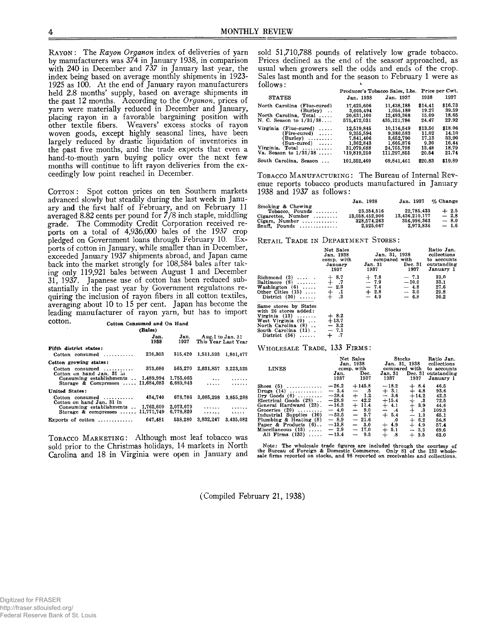RAYON: The *Rayon Organon* index of deliveries of yarn by manufacturers was 374 in January 1938, in comparison with 240 in December and 737 in January last year, the index being based on average monthly shipments in 1923- 1925 as 100. At the end of January rayon manufacturers held 2.8 months' supply, based on average shipments in the past 12 months. According to the *Organon,* prices of yarn were materially reduced in December and January, placing rayon in a favorable bargaining position with other textile fibers. Weavers' excess stocks of rayon woven goods, except highly seasonal lines, have been largely reduced by drastic liquidation of inventories in the past five months, and the trade expects that even a hand-to-mouth yarn buying policy over the next few months will continue to lift rayon deliveries from the exceedingly low point reached in December.

**COTTON:** Spot cotton prices on ten Southern markets advanced slowly but steadily during the last week in January and the first half of February, and on February 11 averaged 8.82 cents per pound for 7/8 inch staple, middling grade. The Commodity Credit Corporation received reports on a total of 4,936,000 bales of the 1937 crop pledged on Government loans through February 10. Exports of cotton in January, while smaller than in December, exceeded January 1937 shipments abroad, and Japan came back into the market strongly for 108,584 bales after taking only 119,921 bales between August 1 and December 31, 1937. Japanese use of cotton has been reduced substantially in the past year by Government regulations requiring the inclusion of rayon fibers in all cotton textiles, averaging about 10 to 15 per cent. Japan has become the leading manufacturer of rayon yarn, but has to import **COttOn. Cotton Consumed and On Hand**

|                                                                                         | (Bales)      |                        |                                         |           |
|-----------------------------------------------------------------------------------------|--------------|------------------------|-----------------------------------------|-----------|
|                                                                                         | Jan.<br>1938 | Jan.<br>1937           | Aug.1 to Jan. 31<br>This Year Last Year |           |
| Fifth district states:<br>Cotton consumed                                               | 216,303      | 315.420                | 1,511,593                               | 1,801,477 |
| Cotton growing states:                                                                  |              |                        |                                         |           |
| Cotton consumed<br>Cotton on hand $\tan 31$ in                                          | 373.080      | 565.270                | 2,631,857                               | 3.223.525 |
| Consuming establishments $\ldots$ 1,489,994<br>Storage & Compresses $\ldots$ 11,684,083 |              | 1,755,065<br>6.689.943 | $\ddotsc$<br>.                          | .<br>.    |
| <b>United States:</b>                                                                   |              |                        |                                         |           |
| $Cotton$ consumed $\ldots \ldots \ldots$<br>Cotton on hand Jan. 31 in                   | 434.740      | 678.786                | 3.085.298                               | 3.855.288 |
| Consuming establishments<br>Storage & compresses $11,771,749$                           | 1,762,609    | 2.073.679<br>6.778.820 | .<br>. <sup>. .</sup>                   | .         |
| Exports of cotton $\dots\dots\dots\dots$                                                | 647.481      | 538.280                | 3.832.247                               | 3.435.082 |

TOBACCO MARKETING: Although most leaf tobacco was sold prior to the Christmas holidays, 14 markets in North Carolina and 18 in Virginia were open in January and sold 51,710,788 pounds of relatively low grade tobacco. Prices declined as the end of the season approached, as usual when growers sell the odds and ends of the crop. Sales last month and for the season to February 1 were as follows:

|                                                       | Producer's Tobacco Sales, Lbs. |                         | Price per Cwt. |                |
|-------------------------------------------------------|--------------------------------|-------------------------|----------------|----------------|
| <b>STATES</b>                                         | Jan. 1938                      | Jan. 1937               | 1938           | 1937           |
| North Carolina (Flue-cured)                           | 17.625,606                     | 11,438,188              | \$14.41        | \$16.73        |
| (Burley)<br>North Carolina, Total                     | 3.005.494<br>20.631,100        | 1.055.180<br>12,493,368 | 19.27<br>15.09 | 39.59<br>18.65 |
| N. C. Season to 1/31/38                               | 575.472.031                    | 435, 121, 786           | 24.47          | 22.92          |
| Virginia<br>(Flue-cured)<br>$\cdot \cdot \cdot \cdot$ | 12.519.845                     | 10.116.549              | \$13,50        | \$18.06        |
| $(Fire-cured)$ ,                                      | 9,355,594                      | 9.380.583               | 11.02          | 14.10          |
| $(Burley) \dots \dots$                                | 7.841.406                      | 3.652.790               | 17.13          | 33.90          |
| $(Sun-cured) \dots$                                   | 1.362.843                      | 1,605,876               | 9.30           | 16.44          |
| Virginia. Total                                       | 31.079.688                     | 24.755.798              | 13.48          | 18.79          |
| Va. Season to 1/31/38                                 | 119,819,250                    | 111,297.855             | 20.54          | 21.74          |
| South Carolina, Season                                | 101,352,469                    | 69,841,461              | \$20.83        | \$19.89        |

**TOBACCO MANUFACTURING:** The Bureau of Internal Revenue reports tobacco products manufactured in January 1938 and 1937 as follows:

|                                                        | Jan. 1938                     | Jan. 1937                     | $\%$ Change      |
|--------------------------------------------------------|-------------------------------|-------------------------------|------------------|
| Smoking & Chewing<br>$Tobacco.$ Pounds $\ldots \ldots$ | 23,354,516                    | 22.785.433                    | $+2.5$           |
| $Cigareites$ , Number                                  | 13.058.452.906<br>328.574.263 | 13.436.210.177<br>356,996,363 | $-2.8$<br>$-8.0$ |
| Cigars. Number $\dots\dots\dots\dots$<br>Snuff, Pounds | 2.925.067                     | 2.973.836                     | $-1.6$           |

## **RETAIL TRADE IN DEPARTMENT STORES:**

|                                                                                                                                                         | Net Sales<br>Jan. 1938<br>comp. with<br>January<br>1937              | Stocks<br>Jan. 31, 1938<br>Jan. 31 Dec. 31<br>1937 | compared with<br>1937                           | Ratio Jan.<br>collections<br>to accounts<br>outstanding<br>January 1 |
|---------------------------------------------------------------------------------------------------------------------------------------------------------|----------------------------------------------------------------------|----------------------------------------------------|-------------------------------------------------|----------------------------------------------------------------------|
| Richmond (3) $+8.7$<br>Baltimore (8) $+7.7$<br>Washington (6) $+2.3$<br>Other Cities (15) $+1.1$<br>District (30) $+3$                                  | $\cdot$ .3                                                           | $+7.8$<br>$-7.9$<br>$-7.4$<br>$+2.8$<br>- 4.9      | $-7.1$<br>$-10.0$<br>$-4.8$<br>$-3.0$<br>$-6.8$ | 33.0<br>33.1<br>27.6<br>29.8<br>30.2                                 |
| Same stores by States<br>with 26 stores added:<br>Virginia $(13)$<br>West Virginia (9)<br>North Carolina (8)<br>South Carolina (11).<br>District $(56)$ | $+8.2$<br>$+13.7$<br>$-3.2$<br>$-7.1$<br>$+$ $\cdot$ $\cdot$ $\cdot$ |                                                    |                                                 |                                                                      |

## $W$  **HOLESALE** TRADE, 133 **FIRMS**:

| <b>LINES</b>                                                                                                                                                                                                                | Jan.<br>1937                                                                                           | Net Sales<br>Jan. 1938<br>comp. with<br>Dec.<br>1937                                                  | Jan. 31<br>1937                                                                                | Stocks<br>compared with<br>Dec. 31<br>1937                                                            | Ratio Jan.<br>Jan. 31, 1938 collections<br>to accounts<br>outstanding<br>January 1 |
|-----------------------------------------------------------------------------------------------------------------------------------------------------------------------------------------------------------------------------|--------------------------------------------------------------------------------------------------------|-------------------------------------------------------------------------------------------------------|------------------------------------------------------------------------------------------------|-------------------------------------------------------------------------------------------------------|------------------------------------------------------------------------------------|
| Shoes $(5)$<br>Drugs $(14)$<br>Dry Goods $(6)$<br>Electrical Goods (28)<br>General Hardward (23).<br>Groceries $(20)$<br>Industrial Supplies (10)<br>Plumbing & Heating (8)<br>Paper & Products $(6)$<br>Miscellaneous (13) | $-26.2$<br>$-3.4$<br>$-28.4$<br>$-28.9$<br>$-16.3$<br>$-4.0$<br>$-33.5$<br>$-8.9$<br>$-13.8$<br>$-2.9$ | $+145.8$<br>- .5<br>$+$ 1.2<br>$-42.2$<br>$+11.4$<br>$-9.0$<br>$-5.7$<br>$-21.6$<br>$-3.0$<br>$-17.0$ | $-18.2$<br>$+3.1$<br>$-3.6$<br>$+15.4$<br>$+4.1$<br>$-4$<br>$+ 5.4$<br>.0<br>$+4.9$<br>$+ 5.1$ | $+8.4$<br>$+4.8$<br>$+14.2$<br>$+$ .3<br>$+3.9$<br>$+$<br>- 3<br>$-1.3$<br>$+6.2$<br>$+4.9$<br>$-5.3$ | 46.5<br>93.6<br>42.3<br>72.5<br>44.6<br>109.3<br>65.1<br>56.8<br>57.4<br>69.6      |

Note: The wholesale trade figures are included through the courtesy of<br>the Bureau of Foreign & Domestic Commerce. Only 81 of the 133 whole-<br>sale firms reported on stocks, and 98 reported on receivables and collections.

(Compiled February 21, 1938)